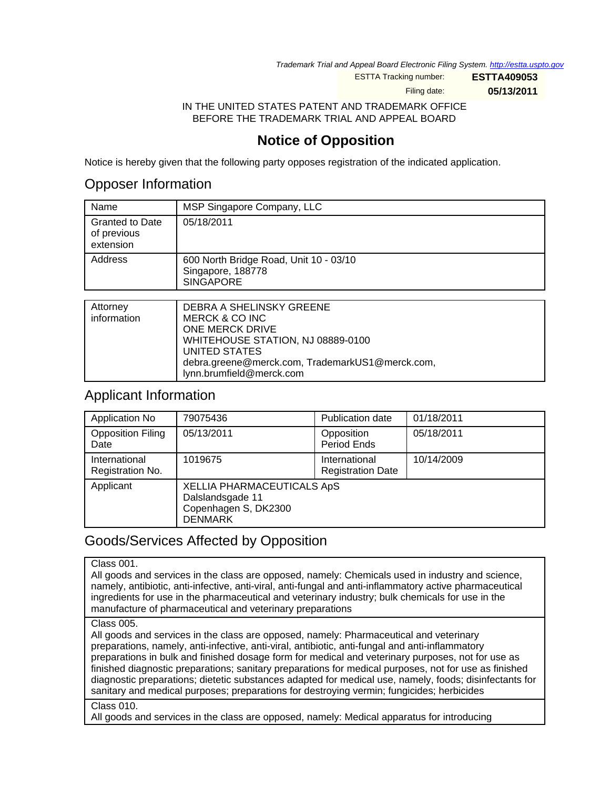Trademark Trial and Appeal Board Electronic Filing System. <http://estta.uspto.gov>

ESTTA Tracking number: **ESTTA409053**

Filing date: **05/13/2011**

IN THE UNITED STATES PATENT AND TRADEMARK OFFICE BEFORE THE TRADEMARK TRIAL AND APPEAL BOARD

# **Notice of Opposition**

Notice is hereby given that the following party opposes registration of the indicated application.

## Opposer Information

| Name                                               | MSP Singapore Company, LLC                                                      |
|----------------------------------------------------|---------------------------------------------------------------------------------|
| <b>Granted to Date</b><br>of previous<br>extension | 05/18/2011                                                                      |
| Address                                            | 600 North Bridge Road, Unit 10 - 03/10<br>Singapore, 188778<br><b>SINGAPORE</b> |
|                                                    |                                                                                 |
| Attorney<br>.                                      | DEBRA A SHELINSKY GREENE<br>.                                                   |

| <b>Attorney</b> | DEBRA A SHELINSKY GREENE                        |
|-----------------|-------------------------------------------------|
| information     | MERCK & CO INC                                  |
|                 | ONE MERCK DRIVE                                 |
|                 | WHITEHOUSE STATION, NJ 08889-0100               |
|                 | UNITED STATES                                   |
|                 | debra.greene@merck.com, TrademarkUS1@merck.com, |
|                 | lynn.brumfield@merck.com                        |

### Applicant Information

| Application No                    | 79075436                                                                                 | <b>Publication date</b>                   | 01/18/2011 |
|-----------------------------------|------------------------------------------------------------------------------------------|-------------------------------------------|------------|
| <b>Opposition Filing</b><br>Date  | 05/13/2011                                                                               | Opposition<br>Period Ends                 | 05/18/2011 |
| International<br>Registration No. | 1019675                                                                                  | International<br><b>Registration Date</b> | 10/14/2009 |
| Applicant                         | XELLIA PHARMACEUTICALS ApS<br>Dalslandsgade 11<br>Copenhagen S, DK2300<br><b>DENMARK</b> |                                           |            |

# Goods/Services Affected by Opposition

### Class 001.

All goods and services in the class are opposed, namely: Chemicals used in industry and science, namely, antibiotic, anti-infective, anti-viral, anti-fungal and anti-inflammatory active pharmaceutical ingredients for use in the pharmaceutical and veterinary industry; bulk chemicals for use in the manufacture of pharmaceutical and veterinary preparations

### Class 005.

All goods and services in the class are opposed, namely: Pharmaceutical and veterinary preparations, namely, anti-infective, anti-viral, antibiotic, anti-fungal and anti-inflammatory preparations in bulk and finished dosage form for medical and veterinary purposes, not for use as finished diagnostic preparations; sanitary preparations for medical purposes, not for use as finished diagnostic preparations; dietetic substances adapted for medical use, namely, foods; disinfectants for sanitary and medical purposes; preparations for destroying vermin; fungicides; herbicides

#### Class 010.

All goods and services in the class are opposed, namely: Medical apparatus for introducing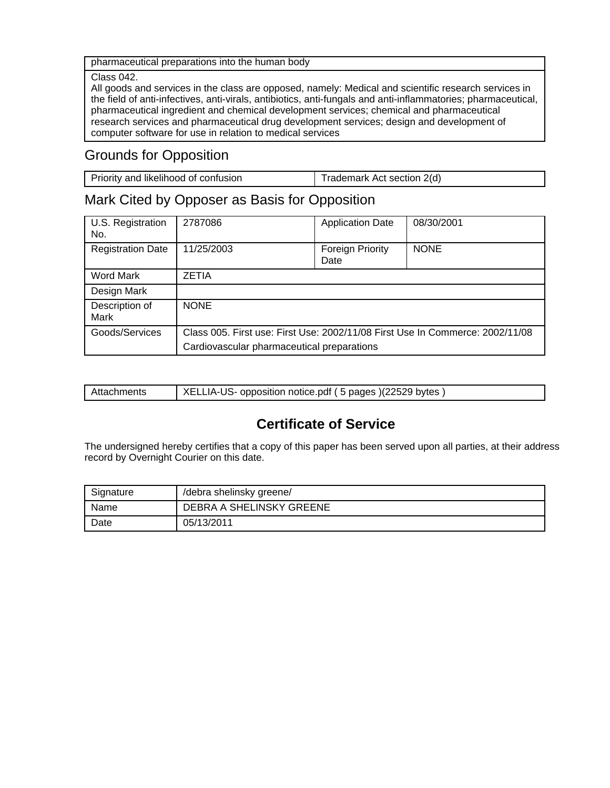pharmaceutical preparations into the human body

#### Class 042.

All goods and services in the class are opposed, namely: Medical and scientific research services in the field of anti-infectives, anti-virals, antibiotics, anti-fungals and anti-inflammatories; pharmaceutical, pharmaceutical ingredient and chemical development services; chemical and pharmaceutical research services and pharmaceutical drug development services; design and development of computer software for use in relation to medical services

# Grounds for Opposition

| Priority and likelihood of confusion | Trademark Act section 2(d) |
|--------------------------------------|----------------------------|

## Mark Cited by Opposer as Basis for Opposition

| U.S. Registration<br>No. | 2787086                                                                       | <b>Application Date</b>         | 08/30/2001  |
|--------------------------|-------------------------------------------------------------------------------|---------------------------------|-------------|
| <b>Registration Date</b> | 11/25/2003                                                                    | <b>Foreign Priority</b><br>Date | <b>NONE</b> |
| Word Mark                | <b>ZETIA</b>                                                                  |                                 |             |
| Design Mark              |                                                                               |                                 |             |
| Description of<br>Mark   | <b>NONE</b>                                                                   |                                 |             |
| Goods/Services           | Class 005. First use: First Use: 2002/11/08 First Use In Commerce: 2002/11/08 |                                 |             |
|                          | Cardiovascular pharmaceutical preparations                                    |                                 |             |

| Attachments | XELLIA-US- opposition notice.pdf (5 pages) (22529 bytes) |
|-------------|----------------------------------------------------------|
|             |                                                          |

# **Certificate of Service**

The undersigned hereby certifies that a copy of this paper has been served upon all parties, at their address record by Overnight Courier on this date.

| Signature | /debra shelinsky greene/ |
|-----------|--------------------------|
| Name      | DEBRA A SHELINSKY GREENE |
| Date      | 05/13/2011               |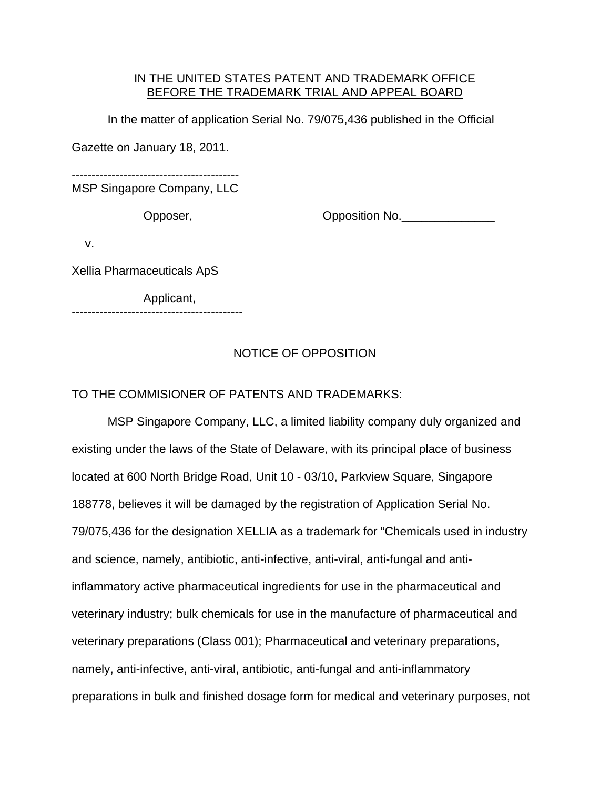### IN THE UNITED STATES PATENT AND TRADEMARK OFFICE BEFORE THE TRADEMARK TRIAL AND APPEAL BOARD

In the matter of application Serial No. 79/075,436 published in the Official

Gazette on January 18, 2011.

------------------------------------------

MSP Singapore Company, LLC

Opposer, Changeles Copposition No.

v.

Xellia Pharmaceuticals ApS

Applicant,

-------------------------------------------

### NOTICE OF OPPOSITION

### TO THE COMMISIONER OF PATENTS AND TRADEMARKS:

 MSP Singapore Company, LLC, a limited liability company duly organized and existing under the laws of the State of Delaware, with its principal place of business located at 600 North Bridge Road, Unit 10 - 03/10, Parkview Square, Singapore 188778, believes it will be damaged by the registration of Application Serial No. 79/075,436 for the designation XELLIA as a trademark for "Chemicals used in industry and science, namely, antibiotic, anti-infective, anti-viral, anti-fungal and antiinflammatory active pharmaceutical ingredients for use in the pharmaceutical and veterinary industry; bulk chemicals for use in the manufacture of pharmaceutical and veterinary preparations (Class 001); Pharmaceutical and veterinary preparations, namely, anti-infective, anti-viral, antibiotic, anti-fungal and anti-inflammatory preparations in bulk and finished dosage form for medical and veterinary purposes, not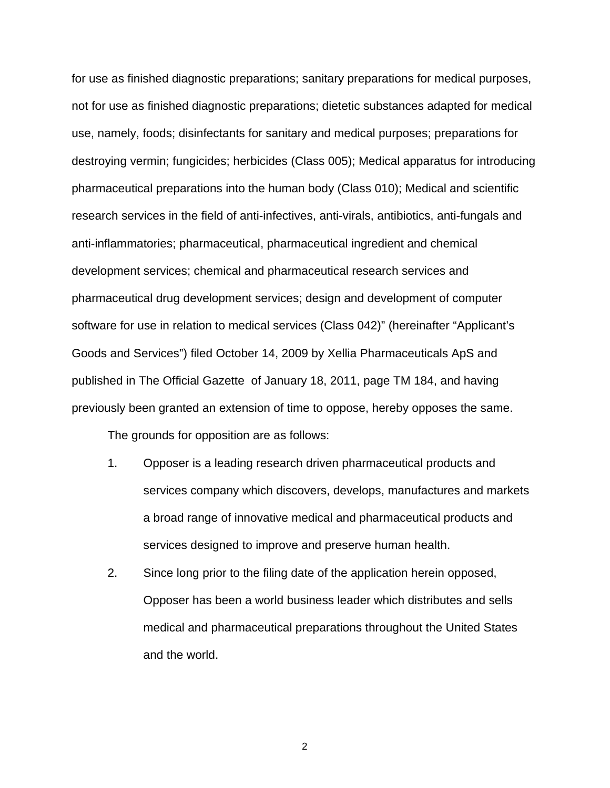for use as finished diagnostic preparations; sanitary preparations for medical purposes, not for use as finished diagnostic preparations; dietetic substances adapted for medical use, namely, foods; disinfectants for sanitary and medical purposes; preparations for destroying vermin; fungicides; herbicides (Class 005); Medical apparatus for introducing pharmaceutical preparations into the human body (Class 010); Medical and scientific research services in the field of anti-infectives, anti-virals, antibiotics, anti-fungals and anti-inflammatories; pharmaceutical, pharmaceutical ingredient and chemical development services; chemical and pharmaceutical research services and pharmaceutical drug development services; design and development of computer software for use in relation to medical services (Class 042)" (hereinafter "Applicant's Goods and Services") filed October 14, 2009 by Xellia Pharmaceuticals ApS and published in The Official Gazette of January 18, 2011, page TM 184, and having previously been granted an extension of time to oppose, hereby opposes the same.

The grounds for opposition are as follows:

- 1. Opposer is a leading research driven pharmaceutical products and services company which discovers, develops, manufactures and markets a broad range of innovative medical and pharmaceutical products and services designed to improve and preserve human health.
- 2. Since long prior to the filing date of the application herein opposed, Opposer has been a world business leader which distributes and sells medical and pharmaceutical preparations throughout the United States and the world.

2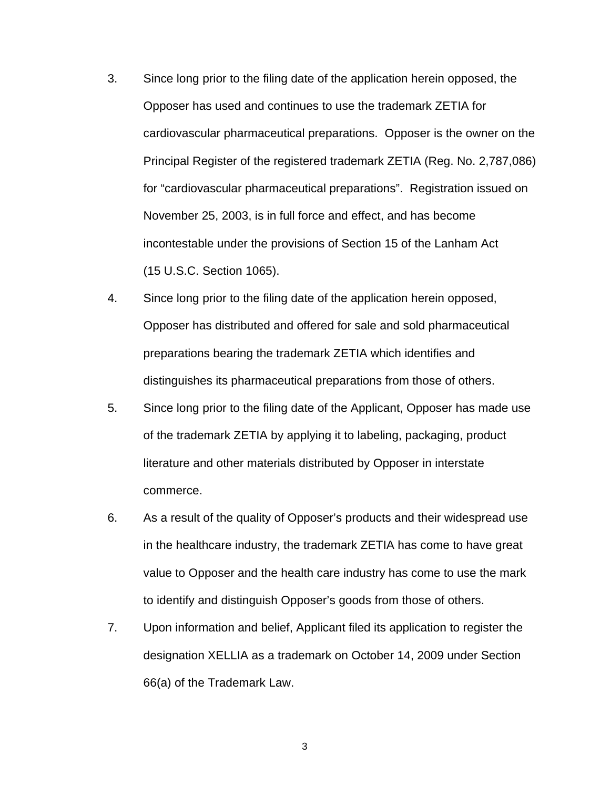- 3. Since long prior to the filing date of the application herein opposed, the Opposer has used and continues to use the trademark ZETIA for cardiovascular pharmaceutical preparations. Opposer is the owner on the Principal Register of the registered trademark ZETIA (Reg. No. 2,787,086) for "cardiovascular pharmaceutical preparations". Registration issued on November 25, 2003, is in full force and effect, and has become incontestable under the provisions of Section 15 of the Lanham Act (15 U.S.C. Section 1065).
- 4. Since long prior to the filing date of the application herein opposed, Opposer has distributed and offered for sale and sold pharmaceutical preparations bearing the trademark ZETIA which identifies and distinguishes its pharmaceutical preparations from those of others.
- 5. Since long prior to the filing date of the Applicant, Opposer has made use of the trademark ZETIA by applying it to labeling, packaging, product literature and other materials distributed by Opposer in interstate commerce.
- 6. As a result of the quality of Opposer's products and their widespread use in the healthcare industry, the trademark ZETIA has come to have great value to Opposer and the health care industry has come to use the mark to identify and distinguish Opposer's goods from those of others.
- 7. Upon information and belief, Applicant filed its application to register the designation XELLIA as a trademark on October 14, 2009 under Section 66(a) of the Trademark Law.

3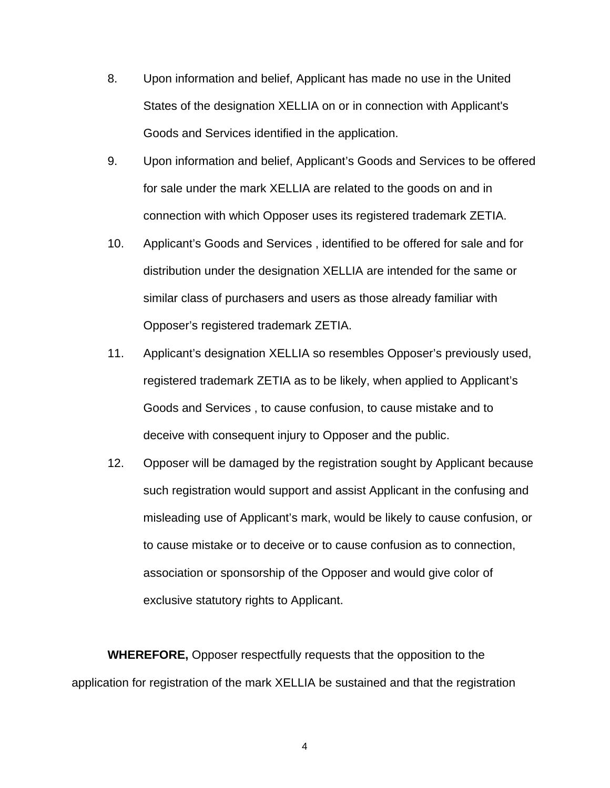- 8. Upon information and belief, Applicant has made no use in the United States of the designation XELLIA on or in connection with Applicant's Goods and Services identified in the application.
- 9. Upon information and belief, Applicant's Goods and Services to be offered for sale under the mark XELLIA are related to the goods on and in connection with which Opposer uses its registered trademark ZETIA.
- 10. Applicant's Goods and Services , identified to be offered for sale and for distribution under the designation XELLIA are intended for the same or similar class of purchasers and users as those already familiar with Opposer's registered trademark ZETIA.
- 11. Applicant's designation XELLIA so resembles Opposer's previously used, registered trademark ZETIA as to be likely, when applied to Applicant's Goods and Services , to cause confusion, to cause mistake and to deceive with consequent injury to Opposer and the public.
- 12. Opposer will be damaged by the registration sought by Applicant because such registration would support and assist Applicant in the confusing and misleading use of Applicant's mark, would be likely to cause confusion, or to cause mistake or to deceive or to cause confusion as to connection, association or sponsorship of the Opposer and would give color of exclusive statutory rights to Applicant.

**WHEREFORE,** Opposer respectfully requests that the opposition to the application for registration of the mark XELLIA be sustained and that the registration

4